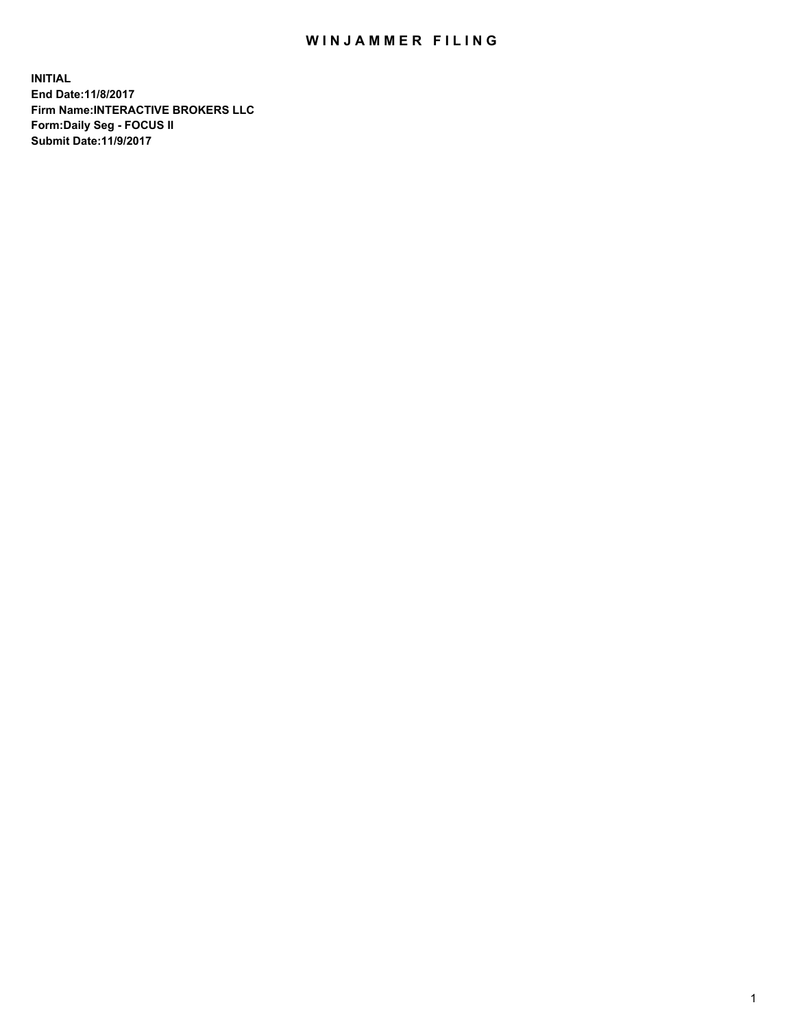## WIN JAMMER FILING

**INITIAL End Date:11/8/2017 Firm Name:INTERACTIVE BROKERS LLC Form:Daily Seg - FOCUS II Submit Date:11/9/2017**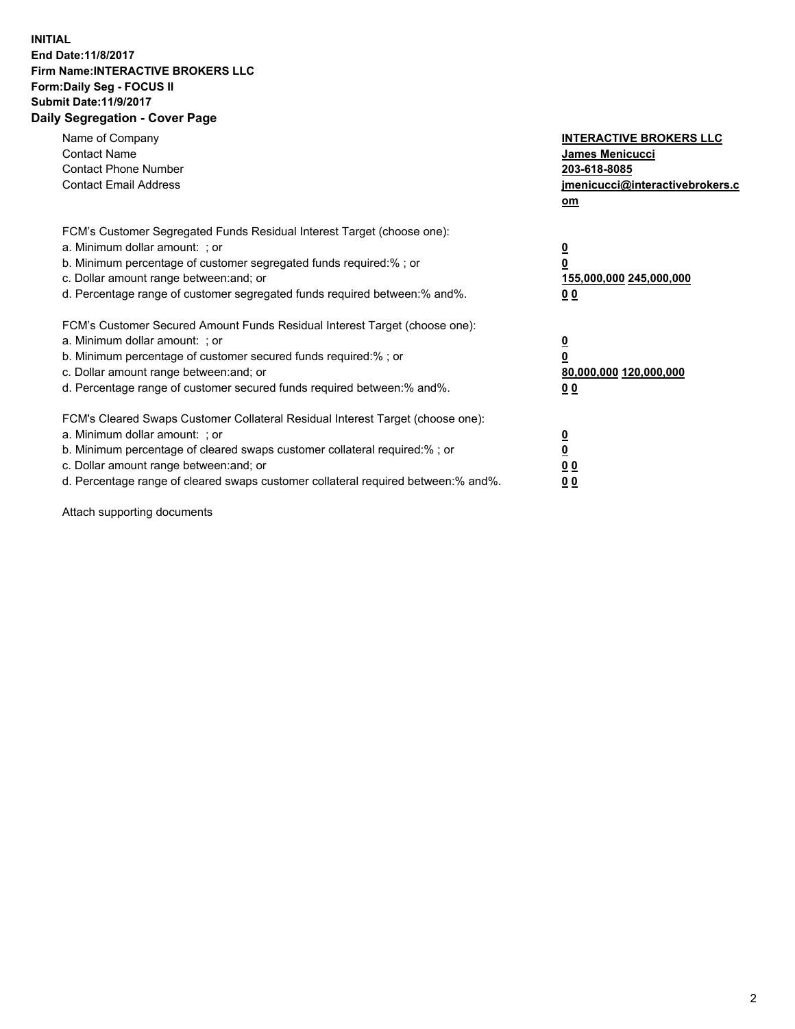## **INITIAL End Date:11/8/2017 Firm Name:INTERACTIVE BROKERS LLC Form:Daily Seg - FOCUS II Submit Date:11/9/2017 Daily Segregation - Cover Page**

| Name of Company<br><b>Contact Name</b><br><b>Contact Phone Number</b><br><b>Contact Email Address</b>                                                                                                                                                                                                                          | <b>INTERACTIVE BROKERS LLC</b><br><b>James Menicucci</b><br>203-618-8085<br>jmenicucci@interactivebrokers.c<br>om |
|--------------------------------------------------------------------------------------------------------------------------------------------------------------------------------------------------------------------------------------------------------------------------------------------------------------------------------|-------------------------------------------------------------------------------------------------------------------|
| FCM's Customer Segregated Funds Residual Interest Target (choose one):<br>a. Minimum dollar amount: ; or<br>b. Minimum percentage of customer segregated funds required:%; or<br>c. Dollar amount range between: and; or<br>d. Percentage range of customer segregated funds required between:% and%.                          | $\overline{\mathbf{0}}$<br>0<br>155,000,000 245,000,000<br>0 <sub>0</sub>                                         |
| FCM's Customer Secured Amount Funds Residual Interest Target (choose one):<br>a. Minimum dollar amount: ; or<br>b. Minimum percentage of customer secured funds required:%; or<br>c. Dollar amount range between: and; or<br>d. Percentage range of customer secured funds required between: % and %.                          | $\overline{\mathbf{0}}$<br>0<br>80,000,000 120,000,000<br>0 <sub>0</sub>                                          |
| FCM's Cleared Swaps Customer Collateral Residual Interest Target (choose one):<br>a. Minimum dollar amount: ; or<br>b. Minimum percentage of cleared swaps customer collateral required:% ; or<br>c. Dollar amount range between: and; or<br>d. Percentage range of cleared swaps customer collateral required between:% and%. | $\overline{\mathbf{0}}$<br>$\overline{\mathbf{0}}$<br>0 <sub>0</sub><br><u>00</u>                                 |

Attach supporting documents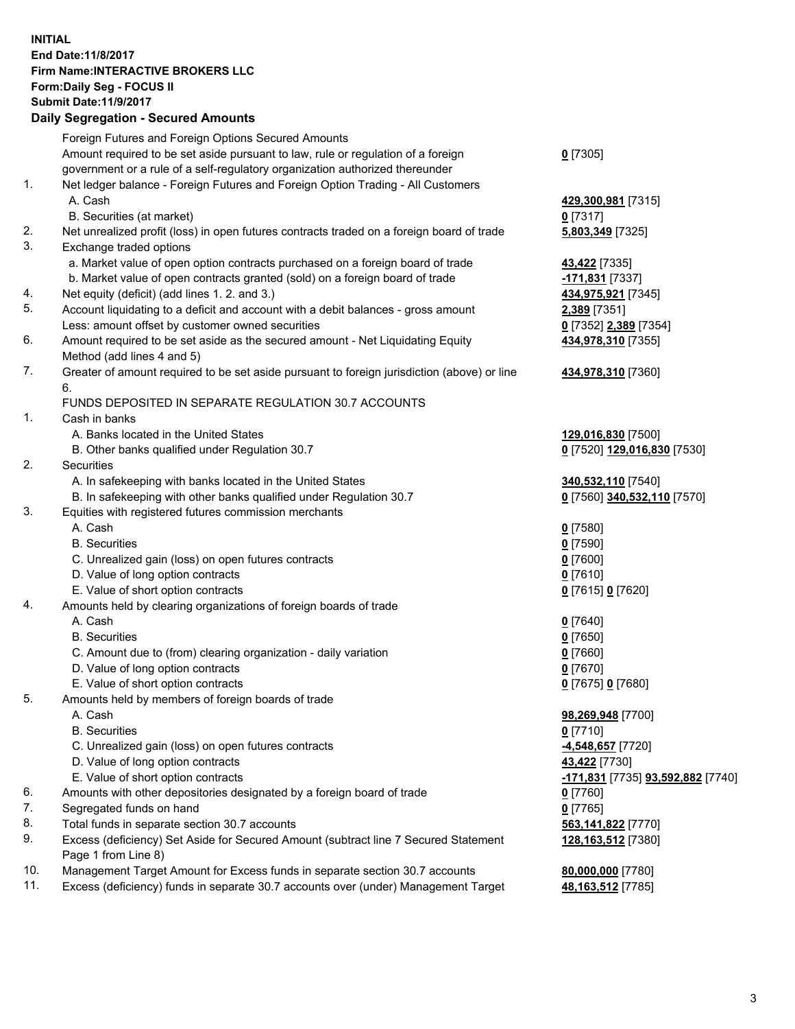## **INITIAL End Date:11/8/2017 Firm Name:INTERACTIVE BROKERS LLC Form:Daily Seg - FOCUS II Submit Date:11/9/2017**

|          | <b>Daily Segregation - Secured Amounts</b>                                                                 |                                        |
|----------|------------------------------------------------------------------------------------------------------------|----------------------------------------|
|          | Foreign Futures and Foreign Options Secured Amounts                                                        |                                        |
|          | Amount required to be set aside pursuant to law, rule or regulation of a foreign                           | $0$ [7305]                             |
|          | government or a rule of a self-regulatory organization authorized thereunder                               |                                        |
| 1.       | Net ledger balance - Foreign Futures and Foreign Option Trading - All Customers                            |                                        |
|          | A. Cash                                                                                                    | 429,300,981 [7315]                     |
|          | B. Securities (at market)                                                                                  | $0$ [7317]                             |
| 2.       | Net unrealized profit (loss) in open futures contracts traded on a foreign board of trade                  | 5,803,349 [7325]                       |
| 3.       | Exchange traded options                                                                                    |                                        |
|          | a. Market value of open option contracts purchased on a foreign board of trade                             | 43,422 [7335]                          |
|          | b. Market value of open contracts granted (sold) on a foreign board of trade                               | -171,831 [7337]                        |
| 4.       | Net equity (deficit) (add lines 1. 2. and 3.)                                                              | 434,975,921 [7345]                     |
| 5.       | Account liquidating to a deficit and account with a debit balances - gross amount                          | 2,389 [7351]                           |
|          | Less: amount offset by customer owned securities                                                           | 0 [7352] 2,389 [7354]                  |
| 6.       | Amount required to be set aside as the secured amount - Net Liquidating Equity                             | 434,978,310 [7355]                     |
|          | Method (add lines 4 and 5)                                                                                 |                                        |
| 7.       | Greater of amount required to be set aside pursuant to foreign jurisdiction (above) or line                | 434,978,310 [7360]                     |
|          | 6.                                                                                                         |                                        |
| 1.       | FUNDS DEPOSITED IN SEPARATE REGULATION 30.7 ACCOUNTS<br>Cash in banks                                      |                                        |
|          | A. Banks located in the United States                                                                      | 129,016,830 [7500]                     |
|          | B. Other banks qualified under Regulation 30.7                                                             | 0 [7520] 129,016,830 [7530]            |
| 2.       | Securities                                                                                                 |                                        |
|          | A. In safekeeping with banks located in the United States                                                  | 340,532,110 [7540]                     |
|          | B. In safekeeping with other banks qualified under Regulation 30.7                                         | 0 [7560] 340,532,110 [7570]            |
| 3.       | Equities with registered futures commission merchants                                                      |                                        |
|          | A. Cash                                                                                                    | $0$ [7580]                             |
|          | <b>B.</b> Securities                                                                                       | $0$ [7590]                             |
|          | C. Unrealized gain (loss) on open futures contracts                                                        | $0$ [7600]                             |
|          | D. Value of long option contracts                                                                          | $0$ [7610]                             |
|          | E. Value of short option contracts                                                                         | 0 [7615] 0 [7620]                      |
| 4.       | Amounts held by clearing organizations of foreign boards of trade                                          |                                        |
|          | A. Cash                                                                                                    | $0$ [7640]                             |
|          | <b>B.</b> Securities                                                                                       | $0$ [7650]                             |
|          | C. Amount due to (from) clearing organization - daily variation                                            | $0$ [7660]                             |
|          | D. Value of long option contracts                                                                          | $0$ [7670]                             |
|          | E. Value of short option contracts                                                                         | 0 [7675] 0 [7680]                      |
| 5.       | Amounts held by members of foreign boards of trade                                                         |                                        |
|          | A. Cash                                                                                                    | 98,269,948 [7700]                      |
|          | <b>B.</b> Securities                                                                                       | $0$ [7710]                             |
|          | C. Unrealized gain (loss) on open futures contracts                                                        | -4,548,657 [7720]                      |
|          | D. Value of long option contracts                                                                          | 43,422 [7730]                          |
|          | E. Value of short option contracts                                                                         | -171,831 [7735] 93,592,882 [7740]      |
| 6.       | Amounts with other depositories designated by a foreign board of trade                                     | $0$ [7760]                             |
| 7.       | Segregated funds on hand                                                                                   | $0$ [7765]                             |
| 8.<br>9. | Total funds in separate section 30.7 accounts                                                              | 563,141,822 [7770]                     |
|          | Excess (deficiency) Set Aside for Secured Amount (subtract line 7 Secured Statement<br>Page 1 from Line 8) | 128,163,512 [7380]                     |
| 10.      | Management Target Amount for Excess funds in separate section 30.7 accounts                                |                                        |
| 11.      | Excess (deficiency) funds in separate 30.7 accounts over (under) Management Target                         | 80,000,000 [7780]<br>48,163,512 [7785] |
|          |                                                                                                            |                                        |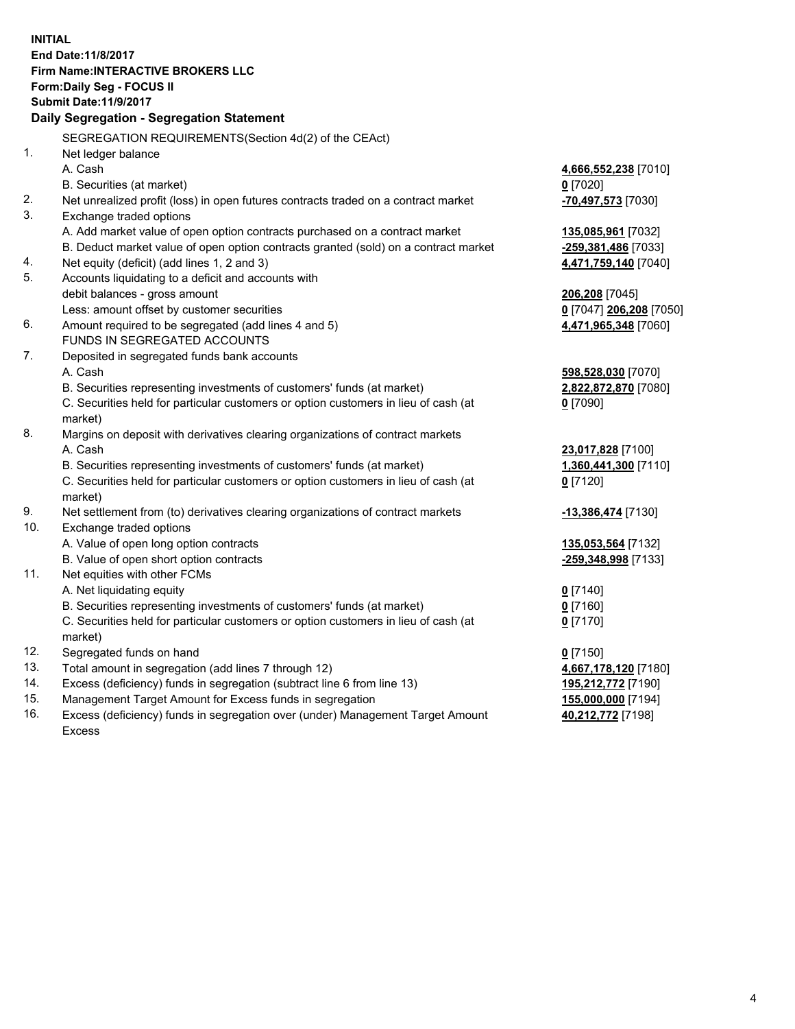**INITIAL End Date:11/8/2017 Firm Name:INTERACTIVE BROKERS LLC Form:Daily Seg - FOCUS II Submit Date:11/9/2017 Daily Segregation - Segregation Statement** SEGREGATION REQUIREMENTS(Section 4d(2) of the CEAct) 1. Net ledger balance A. Cash **4,666,552,238** [7010] B. Securities (at market) **0** [7020] 2. Net unrealized profit (loss) in open futures contracts traded on a contract market **-70,497,573** [7030] 3. Exchange traded options A. Add market value of open option contracts purchased on a contract market **135,085,961** [7032] B. Deduct market value of open option contracts granted (sold) on a contract market **-259,381,486** [7033] 4. Net equity (deficit) (add lines 1, 2 and 3) **4,471,759,140** [7040] 5. Accounts liquidating to a deficit and accounts with debit balances - gross amount **206,208** [7045] Less: amount offset by customer securities **0** [7047] **206,208** [7050] 6. Amount required to be segregated (add lines 4 and 5) **4,471,965,348** [7060] FUNDS IN SEGREGATED ACCOUNTS 7. Deposited in segregated funds bank accounts A. Cash **598,528,030** [7070] B. Securities representing investments of customers' funds (at market) **2,822,872,870** [7080] C. Securities held for particular customers or option customers in lieu of cash (at market) **0** [7090] 8. Margins on deposit with derivatives clearing organizations of contract markets A. Cash **23,017,828** [7100] B. Securities representing investments of customers' funds (at market) **1,360,441,300** [7110] C. Securities held for particular customers or option customers in lieu of cash (at market) **0** [7120] 9. Net settlement from (to) derivatives clearing organizations of contract markets **-13,386,474** [7130] 10. Exchange traded options A. Value of open long option contracts **135,053,564** [7132] B. Value of open short option contracts **-259,348,998** [7133] 11. Net equities with other FCMs A. Net liquidating equity **0** [7140] B. Securities representing investments of customers' funds (at market) **0** [7160] C. Securities held for particular customers or option customers in lieu of cash (at market) **0** [7170] 12. Segregated funds on hand **0** [7150] 13. Total amount in segregation (add lines 7 through 12) **4,667,178,120** [7180] 14. Excess (deficiency) funds in segregation (subtract line 6 from line 13) **195,212,772** [7190] 15. Management Target Amount for Excess funds in segregation **155,000,000** [7194]

16. Excess (deficiency) funds in segregation over (under) Management Target Amount Excess

**40,212,772** [7198]